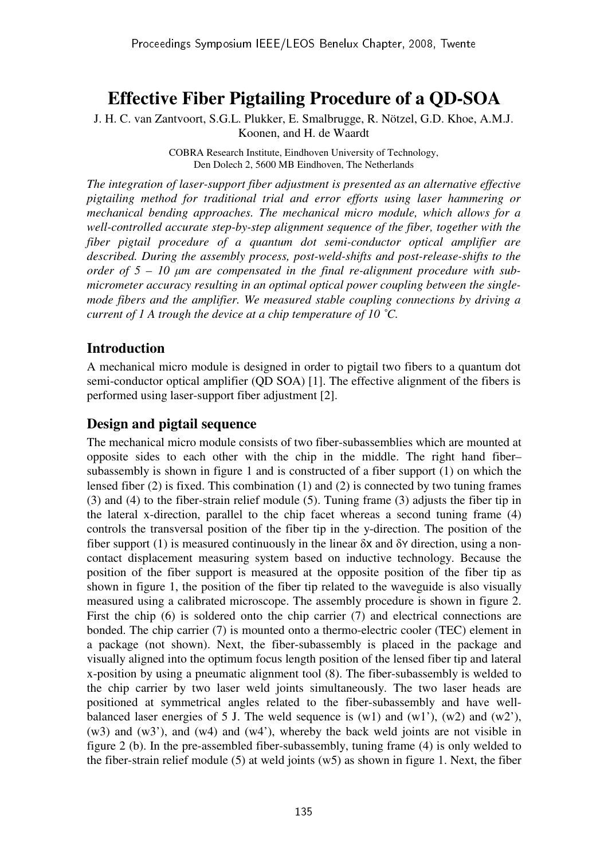# **Effective Fiber Pigtailing Procedure of a QD-SOA**

J. H. C. van Zantvoort, S.G.L. Plukker, E. Smalbrugge, R. Nötzel, G.D. Khoe, A.M.J. Koonen, and H. de Waardt

> COBRA Research Institute, Eindhoven University of Technology, Den Dolech 2, 5600 MB Eindhoven, The Netherlands

*The integration of laser-support fiber adjustment is presented as an alternative effective pigtailing method for traditional trial and error efforts using laser hammering or mechanical bending approaches. The mechanical micro module, which allows for a well-controlled accurate step-by-step alignment sequence of the fiber, together with the fiber pigtail procedure of a quantum dot semi-conductor optical amplifier are described. During the assembly process, post-weld-shifts and post-release-shifts to the order of 5 – 10* µ*m are compensated in the final re-alignment procedure with submicrometer accuracy resulting in an optimal optical power coupling between the singlemode fibers and the amplifier. We measured stable coupling connections by driving a current of 1 A trough the device at a chip temperature of 10 ˚C.* 

# **Introduction**

A mechanical micro module is designed in order to pigtail two fibers to a quantum dot semi-conductor optical amplifier (QD SOA) [1]. The effective alignment of the fibers is performed using laser-support fiber adjustment [2].

## **Design and pigtail sequence**

The mechanical micro module consists of two fiber-subassemblies which are mounted at opposite sides to each other with the chip in the middle. The right hand fiber– subassembly is shown in figure 1 and is constructed of a fiber support (1) on which the lensed fiber (2) is fixed. This combination (1) and (2) is connected by two tuning frames (3) and (4) to the fiber-strain relief module (5). Tuning frame (3) adjusts the fiber tip in the lateral x-direction, parallel to the chip facet whereas a second tuning frame (4) controls the transversal position of the fiber tip in the y-direction. The position of the fiber support (1) is measured continuously in the linear  $\delta x$  and  $\delta y$  direction, using a noncontact displacement measuring system based on inductive technology. Because the position of the fiber support is measured at the opposite position of the fiber tip as shown in figure 1, the position of the fiber tip related to the waveguide is also visually measured using a calibrated microscope. The assembly procedure is shown in figure 2. First the chip (6) is soldered onto the chip carrier (7) and electrical connections are bonded. The chip carrier (7) is mounted onto a thermo-electric cooler (TEC) element in a package (not shown). Next, the fiber-subassembly is placed in the package and visually aligned into the optimum focus length position of the lensed fiber tip and lateral x-position by using a pneumatic alignment tool (8). The fiber-subassembly is welded to the chip carrier by two laser weld joints simultaneously. The two laser heads are positioned at symmetrical angles related to the fiber-subassembly and have wellbalanced laser energies of 5 J. The weld sequence is  $(w1)$  and  $(w1')$ ,  $(w2)$  and  $(w2')$ , (w3) and (w3'), and (w4) and (w4'), whereby the back weld joints are not visible in figure 2 (b). In the pre-assembled fiber-subassembly, tuning frame (4) is only welded to the fiber-strain relief module  $(5)$  at weld joints  $(w5)$  as shown in figure 1. Next, the fiber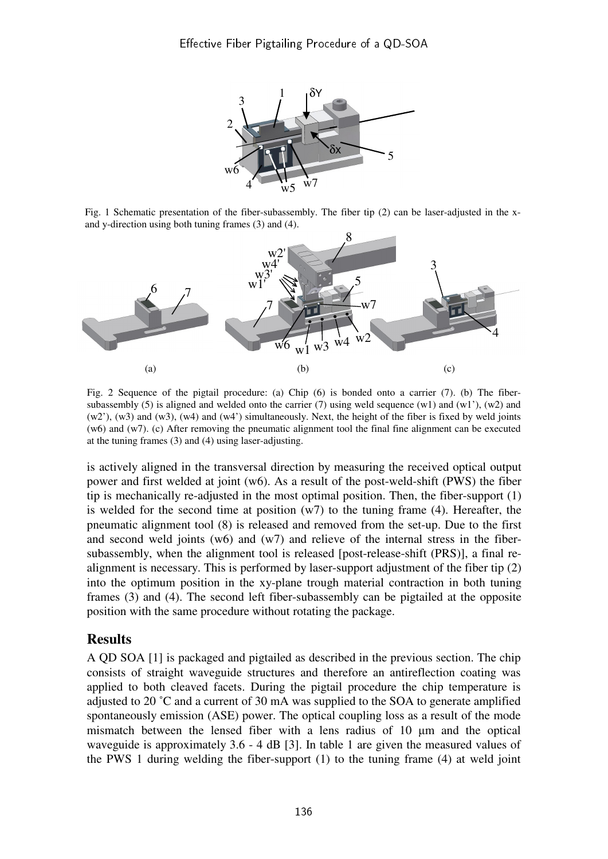

Fig. 1 Schematic presentation of the fiber-subassembly. The fiber tip (2) can be laser-adjusted in the xand y-direction using both tuning frames (3) and (4).



Fig. 2 Sequence of the pigtail procedure: (a) Chip (6) is bonded onto a carrier (7). (b) The fibersubassembly (5) is aligned and welded onto the carrier (7) using weld sequence  $(w1)$  and  $(w1')$ ,  $(w2)$  and (w2'), (w3) and (w3), (w4) and (w4') simultaneously. Next, the height of the fiber is fixed by weld joints (w6) and (w7). (c) After removing the pneumatic alignment tool the final fine alignment can be executed at the tuning frames (3) and (4) using laser-adjusting.

is actively aligned in the transversal direction by measuring the received optical output power and first welded at joint (w6). As a result of the post-weld-shift (PWS) the fiber tip is mechanically re-adjusted in the most optimal position. Then, the fiber-support (1) is welded for the second time at position  $(w7)$  to the tuning frame (4). Hereafter, the pneumatic alignment tool (8) is released and removed from the set-up. Due to the first and second weld joints  $(w6)$  and  $(w7)$  and relieve of the internal stress in the fibersubassembly, when the alignment tool is released [post-release-shift (PRS)], a final realignment is necessary. This is performed by laser-support adjustment of the fiber tip (2) into the optimum position in the xy-plane trough material contraction in both tuning frames (3) and (4). The second left fiber-subassembly can be pigtailed at the opposite position with the same procedure without rotating the package.

## **Results**

A QD SOA [1] is packaged and pigtailed as described in the previous section. The chip consists of straight waveguide structures and therefore an antireflection coating was applied to both cleaved facets. During the pigtail procedure the chip temperature is adjusted to 20 ˚C and a current of 30 mA was supplied to the SOA to generate amplified spontaneously emission (ASE) power. The optical coupling loss as a result of the mode mismatch between the lensed fiber with a lens radius of 10 µm and the optical waveguide is approximately 3.6 - 4 dB [3]. In table 1 are given the measured values of the PWS 1 during welding the fiber-support (1) to the tuning frame (4) at weld joint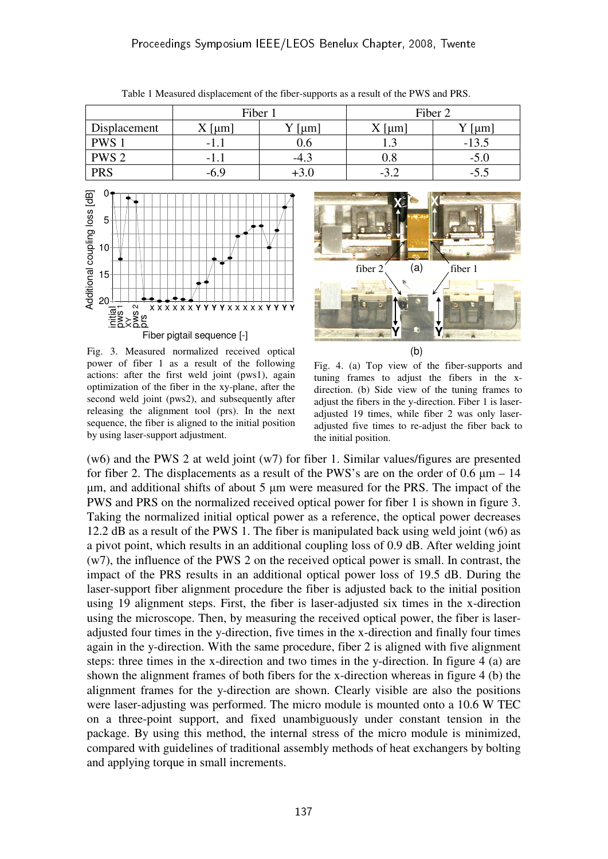|                  | Fiber 1 |        | Fiber 2         |         |
|------------------|---------|--------|-----------------|---------|
| Displacement     | um      | um     | $\mathsf{l}$ um | $\mu$ m |
| <b>PWS</b>       | -1.1    | J.O    | ر . ر           | - 1     |
| PWS <sub>2</sub> | -1.1    | $-4.3$ | Ս.Ծ             | $-5.0$  |
| <b>PRS</b>       | -6.9    |        | $-3.4$          | -5.5    |

Table 1 Measured displacement of the fiber-supports as a result of the PWS and PRS.



Fig. 3. Measured normalized received optical power of fiber 1 as a result of the following actions: after the first weld joint (pws1), again optimization of the fiber in the xy-plane, after the second weld joint (pws2), and subsequently after releasing the alignment tool (prs). In the next sequence, the fiber is aligned to the initial position by using laser-support adjustment.



Fig. 4. (a) Top view of the fiber-supports and tuning frames to adjust the fibers in the xdirection. (b) Side view of the tuning frames to adjust the fibers in the y-direction. Fiber 1 is laseradjusted 19 times, while fiber 2 was only laseradjusted five times to re-adjust the fiber back to the initial position.

(w6) and the PWS 2 at weld joint (w7) for fiber 1. Similar values/figures are presented for fiber 2. The displacements as a result of the PWS's are on the order of  $0.6 \mu m - 14$ µm, and additional shifts of about 5 µm were measured for the PRS. The impact of the PWS and PRS on the normalized received optical power for fiber 1 is shown in figure 3. Taking the normalized initial optical power as a reference, the optical power decreases 12.2 dB as a result of the PWS 1. The fiber is manipulated back using weld joint (w6) as a pivot point, which results in an additional coupling loss of 0.9 dB. After welding joint (w7), the influence of the PWS 2 on the received optical power is small. In contrast, the impact of the PRS results in an additional optical power loss of 19.5 dB. During the laser-support fiber alignment procedure the fiber is adjusted back to the initial position using 19 alignment steps. First, the fiber is laser-adjusted six times in the x-direction using the microscope. Then, by measuring the received optical power, the fiber is laseradjusted four times in the y-direction, five times in the x-direction and finally four times again in the y-direction. With the same procedure, fiber 2 is aligned with five alignment steps: three times in the x-direction and two times in the y-direction. In figure 4 (a) are shown the alignment frames of both fibers for the x-direction whereas in figure 4 (b) the alignment frames for the y-direction are shown. Clearly visible are also the positions were laser-adjusting was performed. The micro module is mounted onto a 10.6 W TEC on a three-point support, and fixed unambiguously under constant tension in the package. By using this method, the internal stress of the micro module is minimized, compared with guidelines of traditional assembly methods of heat exchangers by bolting and applying torque in small increments.